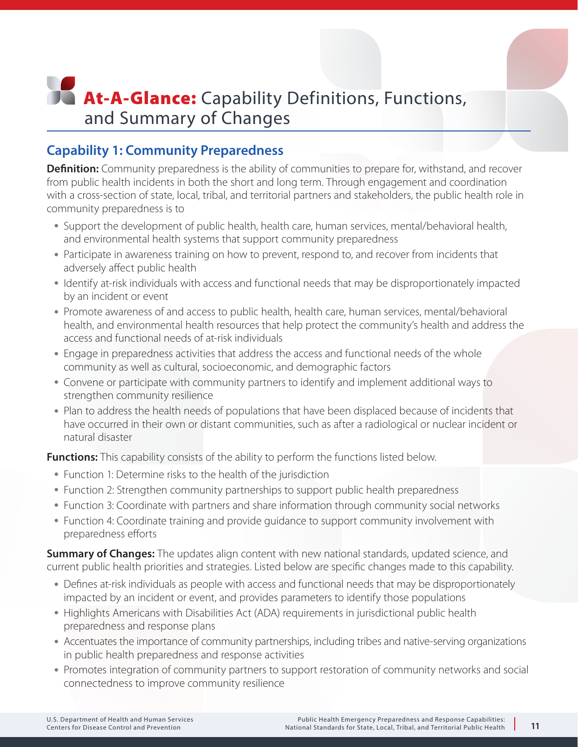# **At-A-Glance:** Capability Definitions, Functions, and Summary of Changes

### **Capability 1: Community Preparedness**

**Definition:** Community preparedness is the ability of communities to prepare for, withstand, and recover from public health incidents in both the short and long term. Through engagement and coordination with a cross-section of state, local, tribal, and territorial partners and stakeholders, the public health role in community preparedness is to

- Support the development of public health, health care, human services, mental/behavioral health, and environmental health systems that support community preparedness
- Participate in awareness training on how to prevent, respond to, and recover from incidents that adversely affect public health
- Identify at-risk individuals with access and functional needs that may be disproportionately impacted by an incident or event
- Promote awareness of and access to public health, health care, human services, mental/behavioral health, and environmental health resources that help protect the community's health and address the access and functional needs of at-risk individuals
- Engage in preparedness activities that address the access and functional needs of the whole community as well as cultural, socioeconomic, and demographic factors
- Convene or participate with community partners to identify and implement additional ways to strengthen community resilience
- Plan to address the health needs of populations that have been displaced because of incidents that have occurred in their own or distant communities, such as after a radiological or nuclear incident or natural disaster

**Functions:** This capability consists of the ability to perform the functions listed below.

- Function 1: Determine risks to the health of the jurisdiction
- Function 2: Strengthen community partnerships to support public health preparedness
- Function 3: Coordinate with partners and share information through community social networks
- Function 4: Coordinate training and provide guidance to support community involvement with preparedness efforts

**Summary of Changes:** The updates align content with new national standards, updated science, and current public health priorities and strategies. Listed below are specific changes made to this capability.

- Defines at-risk individuals as people with access and functional needs that may be disproportionately impacted by an incident or event, and provides parameters to identify those populations
- Highlights Americans with Disabilities Act (ADA) requirements in jurisdictional public health preparedness and response plans
- Accentuates the importance of community partnerships, including tribes and native-serving organizations in public health preparedness and response activities
- Promotes integration of community partners to support restoration of community networks and social connectedness to improve community resilience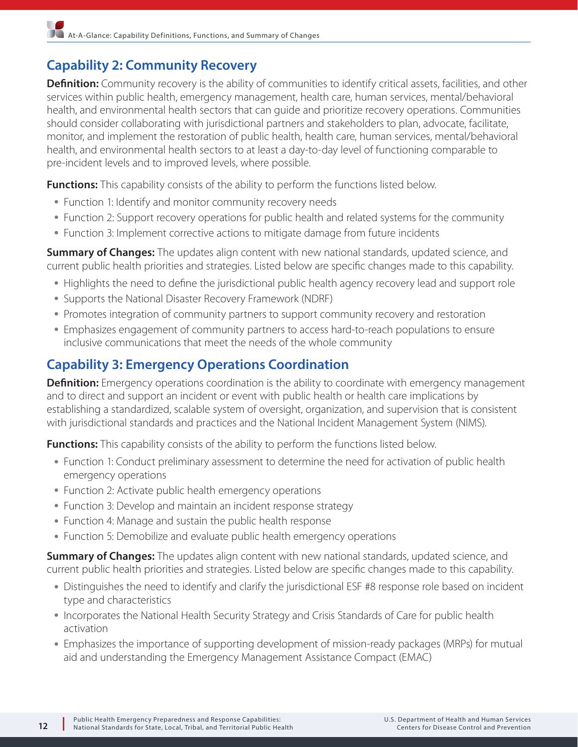### **Capability 2: Community Recovery**

**Definition:** Community recovery is the ability of communities to identify critical assets, facilities, and other services within public health, emergency management, health care, human services, mental/behavioral health, and environmental health sectors that can guide and prioritize recovery operations. Communities should consider collaborating with jurisdictional partners and stakeholders to plan, advocate, facilitate, monitor, and implement the restoration of public health, health care, human services, mental/behavioral health, and environmental health sectors to at least a day-to-day level of functioning comparable to pre-incident levels and to improved levels, where possible.

**Functions:** This capability consists of the ability to perform the functions listed below.

- Function 1: Identify and monitor community recovery needs
- Function 2: Support recovery operations for public health and related systems for the community
- Function 3: Implement corrective actions to mitigate damage from future incidents

**Summary of Changes:** The updates align content with new national standards, updated science, and current public health priorities and strategies. Listed below are specific changes made to this capability.

- Highlights the need to define the jurisdictional public health agency recovery lead and support role
- Supports the National Disaster Recovery Framework (NDRF)
- Promotes integration of community partners to support community recovery and restoration
- Emphasizes engagement of community partners to access hard-to-reach populations to ensure inclusive communications that meet the needs of the whole community

#### **Capability 3: Emergency Operations Coordination**

**Definition:** Emergency operations coordination is the ability to coordinate with emergency management and to direct and support an incident or event with public health or health care implications by establishing a standardized, scalable system of oversight, organization, and supervision that is consistent with jurisdictional standards and practices and the National Incident Management System (NIMS).

**Functions:** This capability consists of the ability to perform the functions listed below.

- Function 1: Conduct preliminary assessment to determine the need for activation of public health emergency operations
- Function 2: Activate public health emergency operations
- Function 3: Develop and maintain an incident response strategy
- Function 4: Manage and sustain the public health response
- Function 5: Demobilize and evaluate public health emergency operations

**Summary of Changes:** The updates align content with new national standards, updated science, and current public health priorities and strategies. Listed below are specific changes made to this capability.

- Distinguishes the need to identify and clarify the jurisdictional ESF #8 response role based on incident type and characteristics
- Incorporates the National Health Security Strategy and Crisis Standards of Care for public health activation
- Emphasizes the importance of supporting development of mission-ready packages (MRPs) for mutual aid and understanding the Emergency Management Assistance Compact (EMAC)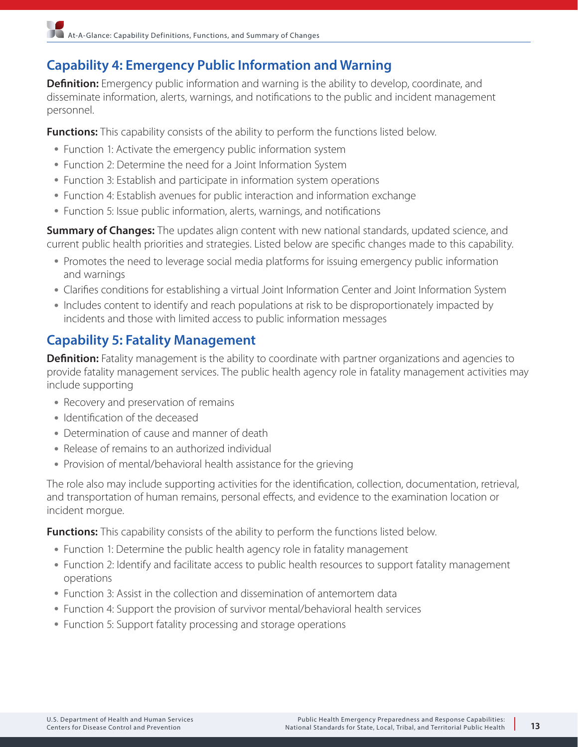## **Capability 4: Emergency Public Information and Warning**

**Definition:** Emergency public information and warning is the ability to develop, coordinate, and disseminate information, alerts, warnings, and notifications to the public and incident management personnel.

**Functions:** This capability consists of the ability to perform the functions listed below.

- Function 1: Activate the emergency public information system
- Function 2: Determine the need for a Joint Information System
- Function 3: Establish and participate in information system operations
- Function 4: Establish avenues for public interaction and information exchange
- Function 5: Issue public information, alerts, warnings, and notifications

**Summary of Changes:** The updates align content with new national standards, updated science, and current public health priorities and strategies. Listed below are specific changes made to this capability.

- Promotes the need to leverage social media platforms for issuing emergency public information and warnings
- Clarifies conditions for establishing a virtual Joint Information Center and Joint Information System
- Includes content to identify and reach populations at risk to be disproportionately impacted by incidents and those with limited access to public information messages

## **Capability 5: Fatality Management**

**Definition:** Fatality management is the ability to coordinate with partner organizations and agencies to provide fatality management services. The public health agency role in fatality management activities may include supporting

- Recovery and preservation of remains
- Identification of the deceased
- Determination of cause and manner of death
- Release of remains to an authorized individual
- Provision of mental/behavioral health assistance for the grieving

The role also may include supporting activities for the identification, collection, documentation, retrieval, and transportation of human remains, personal effects, and evidence to the examination location or incident morgue.

- Function 1: Determine the public health agency role in fatality management
- Function 2: Identify and facilitate access to public health resources to support fatality management operations
- Function 3: Assist in the collection and dissemination of antemortem data
- Function 4: Support the provision of survivor mental/behavioral health services
- Function 5: Support fatality processing and storage operations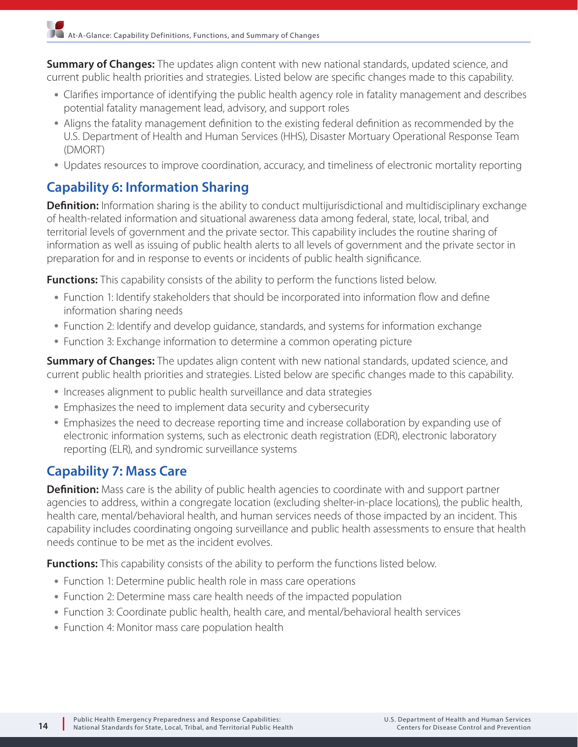**Summary of Changes:** The updates align content with new national standards, updated science, and current public health priorities and strategies. Listed below are specific changes made to this capability.

- Clarifies importance of identifying the public health agency role in fatality management and describes potential fatality management lead, advisory, and support roles
- Aligns the fatality management definition to the existing federal definition as recommended by the U.S. Department of Health and Human Services (HHS), Disaster Mortuary Operational Response Team (DMORT)
- Updates resources to improve coordination, accuracy, and timeliness of electronic mortality reporting

## **Capability 6: Information Sharing**

**Definition:** Information sharing is the ability to conduct multijurisdictional and multidisciplinary exchange of health-related information and situational awareness data among federal, state, local, tribal, and territorial levels of government and the private sector. This capability includes the routine sharing of information as well as issuing of public health alerts to all levels of government and the private sector in preparation for and in response to events or incidents of public health significance.

**Functions:** This capability consists of the ability to perform the functions listed below.

- Function 1: Identify stakeholders that should be incorporated into information flow and define information sharing needs
- Function 2: Identify and develop guidance, standards, and systems for information exchange
- Function 3: Exchange information to determine a common operating picture

**Summary of Changes:** The updates align content with new national standards, updated science, and current public health priorities and strategies. Listed below are specific changes made to this capability.

- Increases alignment to public health surveillance and data strategies
- Emphasizes the need to implement data security and cybersecurity
- Emphasizes the need to decrease reporting time and increase collaboration by expanding use of electronic information systems, such as electronic death registration (EDR), electronic laboratory reporting (ELR), and syndromic surveillance systems

## **Capability 7: Mass Care**

**Definition:** Mass care is the ability of public health agencies to coordinate with and support partner agencies to address, within a congregate location (excluding shelter-in-place locations), the public health, health care, mental/behavioral health, and human services needs of those impacted by an incident. This capability includes coordinating ongoing surveillance and public health assessments to ensure that health needs continue to be met as the incident evolves.

- Function 1: Determine public health role in mass care operations
- Function 2: Determine mass care health needs of the impacted population
- Function 3: Coordinate public health, health care, and mental/behavioral health services
- Function 4: Monitor mass care population health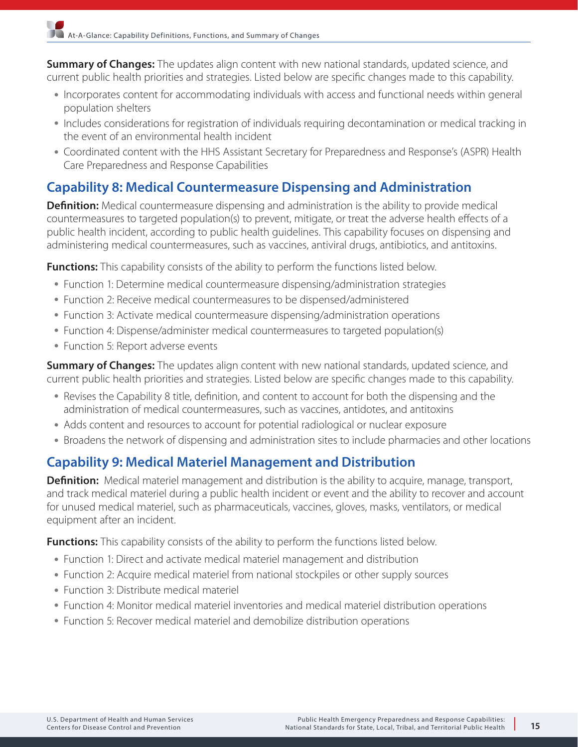**Summary of Changes:** The updates align content with new national standards, updated science, and current public health priorities and strategies. Listed below are specific changes made to this capability.

- Incorporates content for accommodating individuals with access and functional needs within general population shelters
- Includes considerations for registration of individuals requiring decontamination or medical tracking in the event of an environmental health incident
- Coordinated content with the HHS Assistant Secretary for Preparedness and Response's (ASPR) Health Care Preparedness and Response Capabilities

## **Capability 8: Medical Countermeasure Dispensing and Administration**

**Definition:** Medical countermeasure dispensing and administration is the ability to provide medical countermeasures to targeted population(s) to prevent, mitigate, or treat the adverse health effects of a public health incident, according to public health guidelines. This capability focuses on dispensing and administering medical countermeasures, such as vaccines, antiviral drugs, antibiotics, and antitoxins.

**Functions:** This capability consists of the ability to perform the functions listed below.

- Function 1: Determine medical countermeasure dispensing/administration strategies
- Function 2: Receive medical countermeasures to be dispensed/administered
- Function 3: Activate medical countermeasure dispensing/administration operations
- Function 4: Dispense/administer medical countermeasures to targeted population(s)
- Function 5: Report adverse events

**Summary of Changes:** The updates align content with new national standards, updated science, and current public health priorities and strategies. Listed below are specific changes made to this capability.

- Revises the Capability 8 title, definition, and content to account for both the dispensing and the administration of medical countermeasures, such as vaccines, antidotes, and antitoxins
- Adds content and resources to account for potential radiological or nuclear exposure
- Broadens the network of dispensing and administration sites to include pharmacies and other locations

## **Capability 9: Medical Materiel Management and Distribution**

**Definition:** Medical materiel management and distribution is the ability to acquire, manage, transport, and track medical materiel during a public health incident or event and the ability to recover and account for unused medical materiel, such as pharmaceuticals, vaccines, gloves, masks, ventilators, or medical equipment after an incident.

- Function 1: Direct and activate medical materiel management and distribution
- Function 2: Acquire medical materiel from national stockpiles or other supply sources
- Function 3: Distribute medical materiel
- Function 4: Monitor medical materiel inventories and medical materiel distribution operations
- Function 5: Recover medical materiel and demobilize distribution operations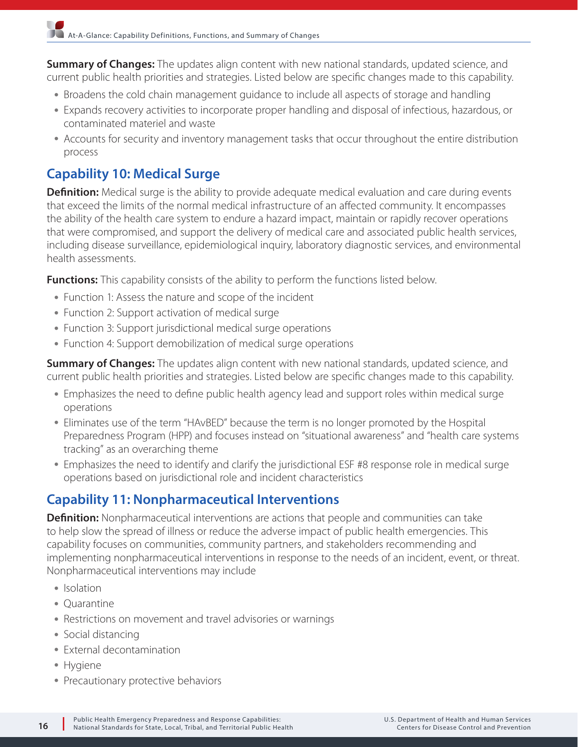**Summary of Changes:** The updates align content with new national standards, updated science, and current public health priorities and strategies. Listed below are specific changes made to this capability.

- Broadens the cold chain management guidance to include all aspects of storage and handling
- Expands recovery activities to incorporate proper handling and disposal of infectious, hazardous, or contaminated materiel and waste
- Accounts for security and inventory management tasks that occur throughout the entire distribution process

### **Capability 10: Medical Surge**

**Definition:** Medical surge is the ability to provide adequate medical evaluation and care during events that exceed the limits of the normal medical infrastructure of an affected community. It encompasses the ability of the health care system to endure a hazard impact, maintain or rapidly recover operations that were compromised, and support the delivery of medical care and associated public health services, including disease surveillance, epidemiological inquiry, laboratory diagnostic services, and environmental health assessments.

**Functions:** This capability consists of the ability to perform the functions listed below.

- Function 1: Assess the nature and scope of the incident
- Function 2: Support activation of medical surge
- Function 3: Support jurisdictional medical surge operations
- Function 4: Support demobilization of medical surge operations

**Summary of Changes:** The updates align content with new national standards, updated science, and current public health priorities and strategies. Listed below are specific changes made to this capability.

- Emphasizes the need to define public health agency lead and support roles within medical surge operations
- Eliminates use of the term "HAvBED" because the term is no longer promoted by the Hospital Preparedness Program (HPP) and focuses instead on "situational awareness" and "health care systems tracking" as an overarching theme
- Emphasizes the need to identify and clarify the jurisdictional ESF #8 response role in medical surge operations based on jurisdictional role and incident characteristics

#### **Capability 11: Nonpharmaceutical Interventions**

**Definition:** Nonpharmaceutical interventions are actions that people and communities can take to help slow the spread of illness or reduce the adverse impact of public health emergencies. This capability focuses on communities, community partners, and stakeholders recommending and implementing nonpharmaceutical interventions in response to the needs of an incident, event, or threat. Nonpharmaceutical interventions may include

- Isolation
- Quarantine
- Restrictions on movement and travel advisories or warnings
- Social distancing
- External decontamination
- Hygiene
- Precautionary protective behaviors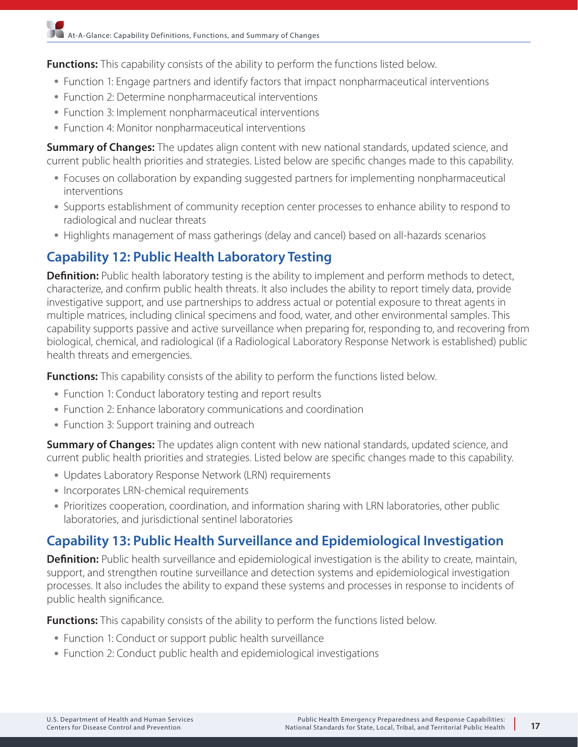**Functions:** This capability consists of the ability to perform the functions listed below.

- Function 1: Engage partners and identify factors that impact nonpharmaceutical interventions
- Function 2: Determine nonpharmaceutical interventions
- Function 3: Implement nonpharmaceutical interventions
- Function 4: Monitor nonpharmaceutical interventions

**Summary of Changes:** The updates align content with new national standards, updated science, and current public health priorities and strategies. Listed below are specific changes made to this capability.

- Focuses on collaboration by expanding suggested partners for implementing nonpharmaceutical interventions
- Supports establishment of community reception center processes to enhance ability to respond to radiological and nuclear threats
- Highlights management of mass gatherings (delay and cancel) based on all-hazards scenarios

#### **Capability 12: Public Health Laboratory Testing**

**Definition:** Public health laboratory testing is the ability to implement and perform methods to detect, characterize, and confirm public health threats. It also includes the ability to report timely data, provide investigative support, and use partnerships to address actual or potential exposure to threat agents in multiple matrices, including clinical specimens and food, water, and other environmental samples. This capability supports passive and active surveillance when preparing for, responding to, and recovering from biological, chemical, and radiological (if a Radiological Laboratory Response Network is established) public health threats and emergencies.

**Functions:** This capability consists of the ability to perform the functions listed below.

- Function 1: Conduct laboratory testing and report results
- Function 2: Enhance laboratory communications and coordination
- Function 3: Support training and outreach

**Summary of Changes:** The updates align content with new national standards, updated science, and current public health priorities and strategies. Listed below are specific changes made to this capability.

- Updates Laboratory Response Network (LRN) requirements
- Incorporates LRN-chemical requirements
- Prioritizes cooperation, coordination, and information sharing with LRN laboratories, other public laboratories, and jurisdictional sentinel laboratories

## **Capability 13: Public Health Surveillance and Epidemiological Investigation**

**Definition:** Public health surveillance and epidemiological investigation is the ability to create, maintain, support, and strengthen routine surveillance and detection systems and epidemiological investigation processes. It also includes the ability to expand these systems and processes in response to incidents of public health significance.

- Function 1: Conduct or support public health surveillance
- Function 2: Conduct public health and epidemiological investigations